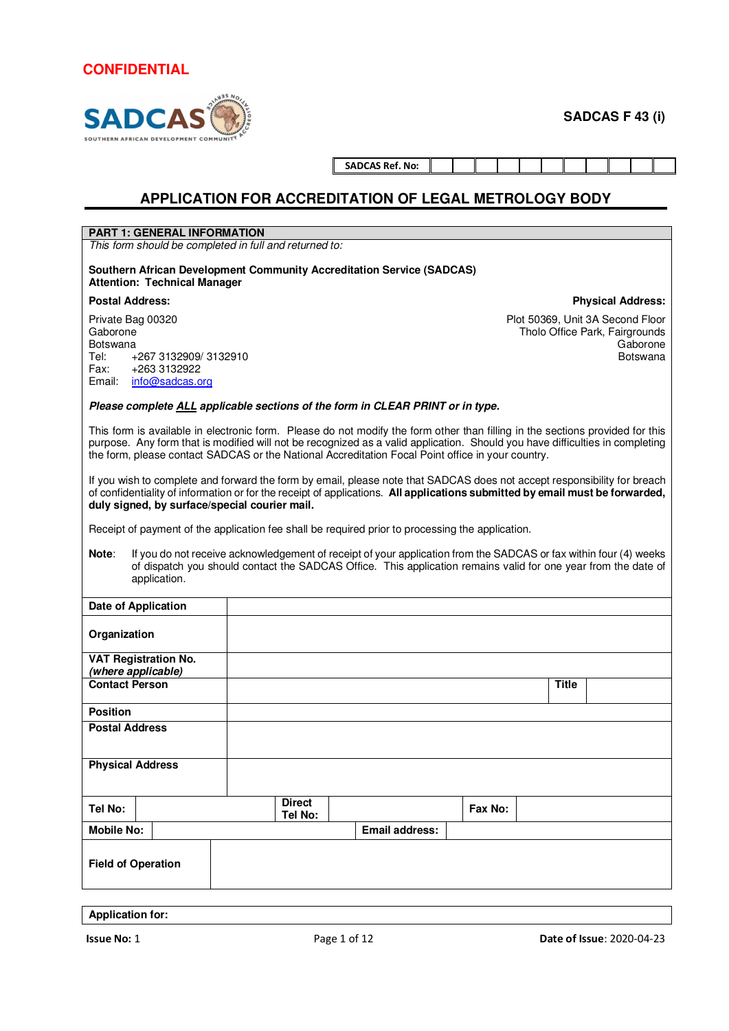# **SADC** SOUTHERN AFRICAN DEVELOPMENT COMP

**SADCAS F 43 (i)**

**Physical Address:**

| <b>SADCAS Ref. No:</b> |  |  |
|------------------------|--|--|

### **APPLICATION FOR ACCREDITATION OF LEGAL METROLOGY BODY**

#### **PART 1: GENERAL INFORMATION**

*This form should be completed in full and returned to:* 

**Southern African Development Community Accreditation Service (SADCAS) Attention: Technical Manager** 

#### **Postal Address:**

Private Bag 00320 Gaborone Botswana Tel: +267 3132909/ 3132910<br>Fax: +263 3132922 +263 3132922 Email: info@sadcas.org

Plot 50369, Unit 3A Second Floor Tholo Office Park, Fairgrounds Gaborone Botswana

#### **Please complete ALL applicable sections of the form in CLEAR PRINT or in type.**

This form is available in electronic form. Please do not modify the form other than filling in the sections provided for this purpose. Any form that is modified will not be recognized as a valid application. Should you have difficulties in completing the form, please contact SADCAS or the National Accreditation Focal Point office in your country.

If you wish to complete and forward the form by email, please note that SADCAS does not accept responsibility for breach of confidentiality of information or for the receipt of applications. **All applications submitted by email must be forwarded, duly signed, by surface/special courier mail.**

Receipt of payment of the application fee shall be required prior to processing the application.

**Note**: If you do not receive acknowledgement of receipt of your application from the SADCAS or fax within four (4) weeks of dispatch you should contact the SADCAS Office. This application remains valid for one year from the date of application.

| <b>Date of Application</b>  |                          |                       |         |              |
|-----------------------------|--------------------------|-----------------------|---------|--------------|
| Organization                |                          |                       |         |              |
| <b>VAT Registration No.</b> |                          |                       |         |              |
| (where applicable)          |                          |                       |         |              |
| <b>Contact Person</b>       |                          |                       |         | <b>Title</b> |
| <b>Position</b>             |                          |                       |         |              |
| <b>Postal Address</b>       |                          |                       |         |              |
| <b>Physical Address</b>     |                          |                       |         |              |
| Tel No:                     | <b>Direct</b><br>Tel No: |                       | Fax No: |              |
| <b>Mobile No:</b>           |                          | <b>Email address:</b> |         |              |
| <b>Field of Operation</b>   |                          |                       |         |              |
|                             |                          |                       |         |              |

**Application for:**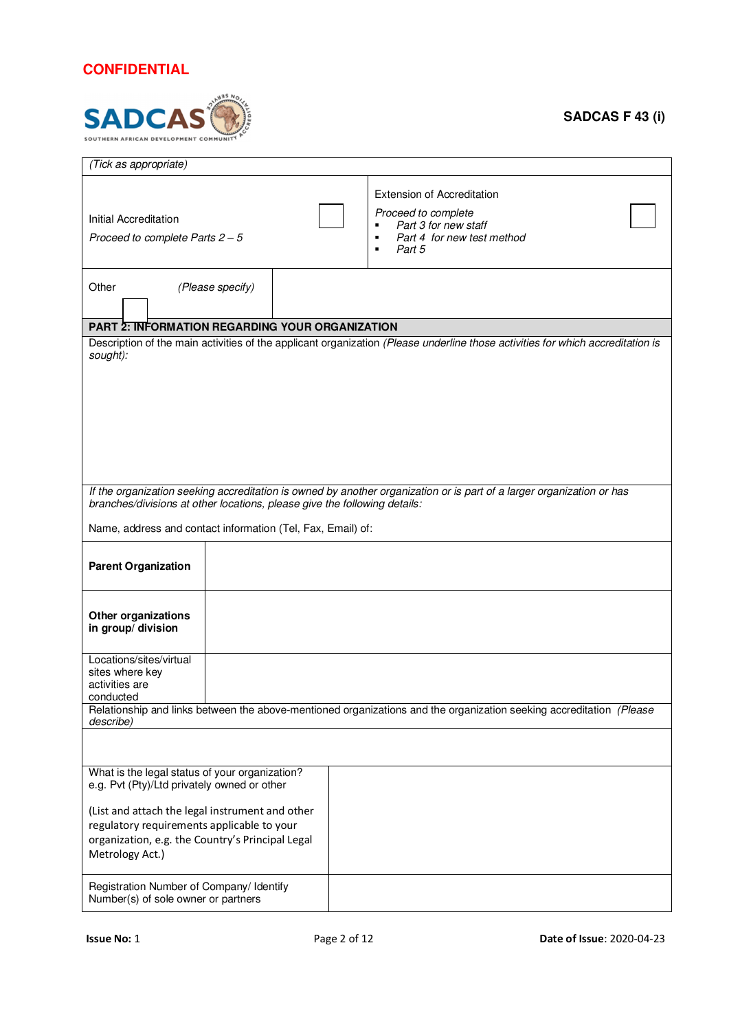

| (Tick as appropriate)                                                                                                                                                |  |                                                                                                                                                 |  |  |  |  |  |  |
|----------------------------------------------------------------------------------------------------------------------------------------------------------------------|--|-------------------------------------------------------------------------------------------------------------------------------------------------|--|--|--|--|--|--|
| Initial Accreditation<br>Proceed to complete Parts $2-5$                                                                                                             |  | <b>Extension of Accreditation</b><br>Proceed to complete<br>Part 3 for new staff<br>Part 4 for new test method<br>п<br>Part 5<br>$\blacksquare$ |  |  |  |  |  |  |
| Other<br>(Please specify)                                                                                                                                            |  |                                                                                                                                                 |  |  |  |  |  |  |
| <b>PART 2: INFORMATION REGARDING YOUR ORGANIZATION</b>                                                                                                               |  |                                                                                                                                                 |  |  |  |  |  |  |
| sought):                                                                                                                                                             |  | Description of the main activities of the applicant organization (Please underline those activities for which accreditation is                  |  |  |  |  |  |  |
| branches/divisions at other locations, please give the following details:                                                                                            |  | If the organization seeking accreditation is owned by another organization or is part of a larger organization or has                           |  |  |  |  |  |  |
| Name, address and contact information (Tel, Fax, Email) of:                                                                                                          |  |                                                                                                                                                 |  |  |  |  |  |  |
| <b>Parent Organization</b>                                                                                                                                           |  |                                                                                                                                                 |  |  |  |  |  |  |
| <b>Other organizations</b><br>in group/ division                                                                                                                     |  |                                                                                                                                                 |  |  |  |  |  |  |
| Locations/sites/virtual<br>sites where key<br>activities are<br>conducted                                                                                            |  |                                                                                                                                                 |  |  |  |  |  |  |
|                                                                                                                                                                      |  | Relationship and links between the above-mentioned organizations and the organization seeking accreditation (Please                             |  |  |  |  |  |  |
| describe)                                                                                                                                                            |  |                                                                                                                                                 |  |  |  |  |  |  |
| What is the legal status of your organization?<br>e.g. Pvt (Pty)/Ltd privately owned or other                                                                        |  |                                                                                                                                                 |  |  |  |  |  |  |
| (List and attach the legal instrument and other<br>regulatory requirements applicable to your<br>organization, e.g. the Country's Principal Legal<br>Metrology Act.) |  |                                                                                                                                                 |  |  |  |  |  |  |
| Registration Number of Company/ Identify<br>Number(s) of sole owner or partners                                                                                      |  |                                                                                                                                                 |  |  |  |  |  |  |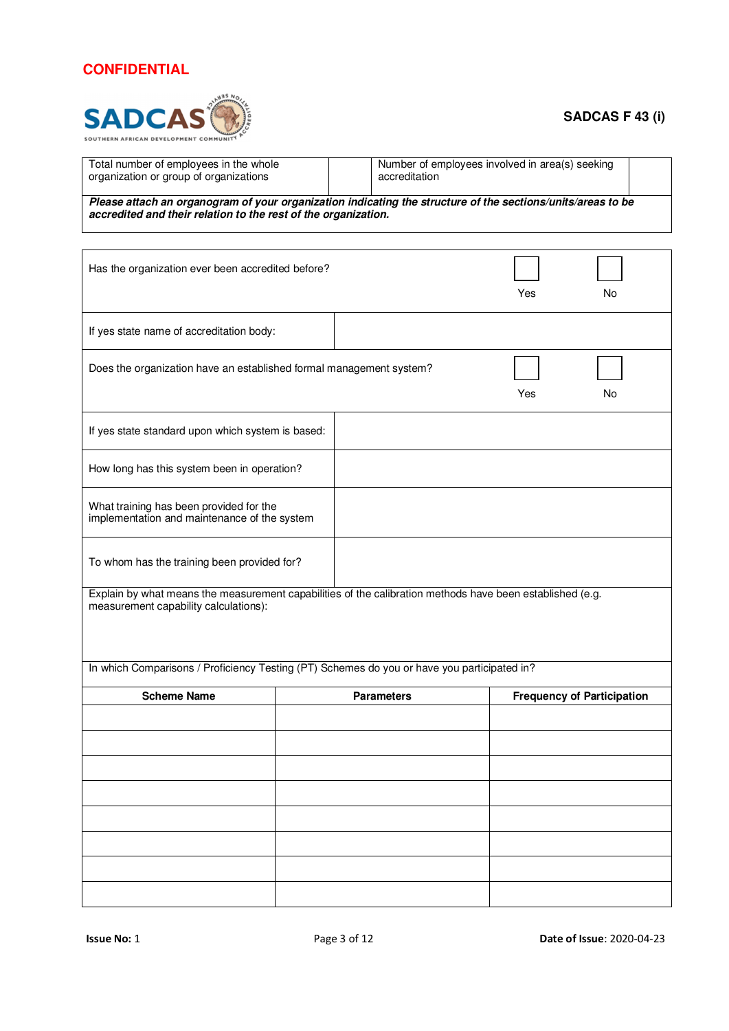

### **SADCAS F 43 (i)**

| Total number of employees in the whole<br>organization or group of organizations                                                    | Number of employees involved in area(s) seeking<br>accreditation |  |  |  |  |  |  |
|-------------------------------------------------------------------------------------------------------------------------------------|------------------------------------------------------------------|--|--|--|--|--|--|
| . . A concern a senator description of the composition of the concernstance house to senate the hou<br>Disco - Hell de conservacion |                                                                  |  |  |  |  |  |  |

**Please attach an organogram of your organization indicating the structure of the sections/units/areas to be accredited and their relation to the rest of the organization.** 

| Has the organization ever been accredited before?                                                                                                  |                   | Yes | No                                |
|----------------------------------------------------------------------------------------------------------------------------------------------------|-------------------|-----|-----------------------------------|
| If yes state name of accreditation body:                                                                                                           |                   |     |                                   |
| Does the organization have an established formal management system?                                                                                |                   | Yes | No                                |
| If yes state standard upon which system is based:                                                                                                  |                   |     |                                   |
| How long has this system been in operation?                                                                                                        |                   |     |                                   |
| What training has been provided for the<br>implementation and maintenance of the system                                                            |                   |     |                                   |
| To whom has the training been provided for?                                                                                                        |                   |     |                                   |
| Explain by what means the measurement capabilities of the calibration methods have been established (e.g.<br>measurement capability calculations): |                   |     |                                   |
| In which Comparisons / Proficiency Testing (PT) Schemes do you or have you participated in?                                                        |                   |     |                                   |
| <b>Scheme Name</b>                                                                                                                                 | <b>Parameters</b> |     | <b>Frequency of Participation</b> |
|                                                                                                                                                    |                   |     |                                   |
|                                                                                                                                                    |                   |     |                                   |
|                                                                                                                                                    |                   |     |                                   |
|                                                                                                                                                    |                   |     |                                   |
|                                                                                                                                                    |                   |     |                                   |
|                                                                                                                                                    |                   |     |                                   |
|                                                                                                                                                    |                   |     |                                   |
|                                                                                                                                                    |                   |     |                                   |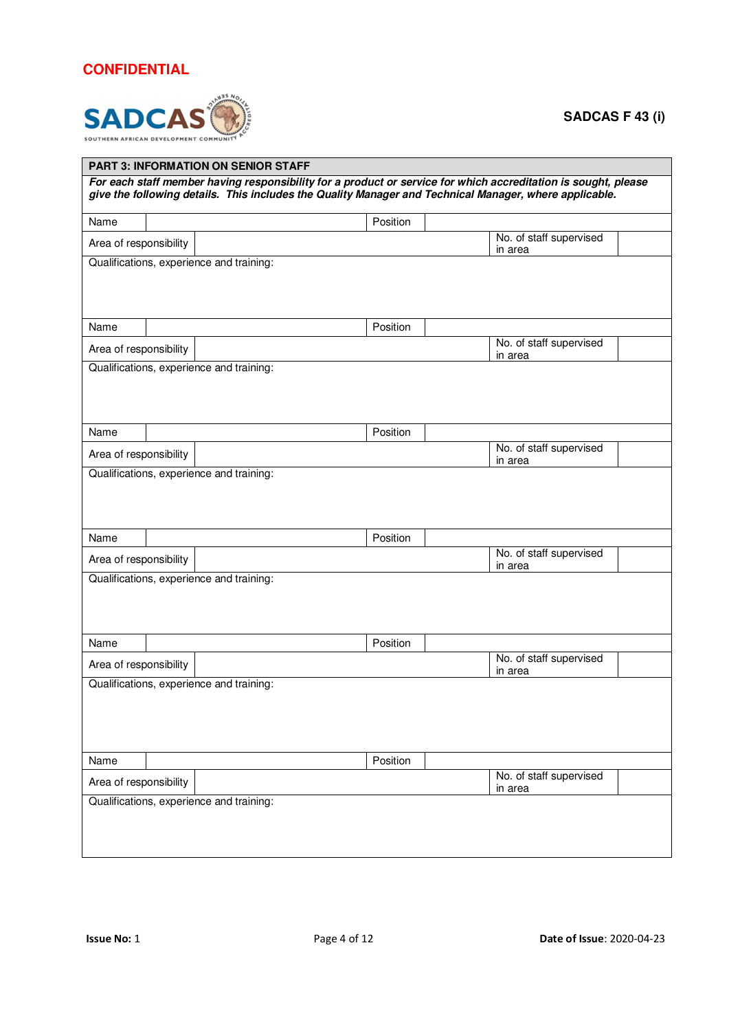

| <b>PART 3: INFORMATION ON SENIOR STAFF</b>                                                                                                                                                                               |                                                              |                                          |                                    |  |  |  |  |  |  |  |
|--------------------------------------------------------------------------------------------------------------------------------------------------------------------------------------------------------------------------|--------------------------------------------------------------|------------------------------------------|------------------------------------|--|--|--|--|--|--|--|
| For each staff member having responsibility for a product or service for which accreditation is sought, please<br>give the following details. This includes the Quality Manager and Technical Manager, where applicable. |                                                              |                                          |                                    |  |  |  |  |  |  |  |
| Name                                                                                                                                                                                                                     |                                                              | Position                                 |                                    |  |  |  |  |  |  |  |
|                                                                                                                                                                                                                          | No. of staff supervised<br>Area of responsibility<br>in area |                                          |                                    |  |  |  |  |  |  |  |
|                                                                                                                                                                                                                          |                                                              | Qualifications, experience and training: |                                    |  |  |  |  |  |  |  |
| Name                                                                                                                                                                                                                     |                                                              | Position                                 |                                    |  |  |  |  |  |  |  |
| Area of responsibility                                                                                                                                                                                                   |                                                              |                                          | No. of staff supervised<br>in area |  |  |  |  |  |  |  |
|                                                                                                                                                                                                                          |                                                              | Qualifications, experience and training: |                                    |  |  |  |  |  |  |  |
| Name                                                                                                                                                                                                                     |                                                              | Position                                 |                                    |  |  |  |  |  |  |  |
| Area of responsibility                                                                                                                                                                                                   |                                                              |                                          | No. of staff supervised<br>in area |  |  |  |  |  |  |  |
| Name                                                                                                                                                                                                                     |                                                              | Position                                 |                                    |  |  |  |  |  |  |  |
| Area of responsibility                                                                                                                                                                                                   |                                                              |                                          | No. of staff supervised<br>in area |  |  |  |  |  |  |  |
|                                                                                                                                                                                                                          |                                                              | Qualifications, experience and training: |                                    |  |  |  |  |  |  |  |
| Name                                                                                                                                                                                                                     |                                                              | Position                                 | No. of staff supervised            |  |  |  |  |  |  |  |
| Area of responsibility                                                                                                                                                                                                   |                                                              |                                          | in area                            |  |  |  |  |  |  |  |
| Qualifications, experience and training:                                                                                                                                                                                 |                                                              |                                          |                                    |  |  |  |  |  |  |  |
| Name                                                                                                                                                                                                                     |                                                              | Position                                 |                                    |  |  |  |  |  |  |  |
| Area of responsibility                                                                                                                                                                                                   |                                                              | Qualifications, experience and training: | No. of staff supervised<br>in area |  |  |  |  |  |  |  |
|                                                                                                                                                                                                                          |                                                              |                                          |                                    |  |  |  |  |  |  |  |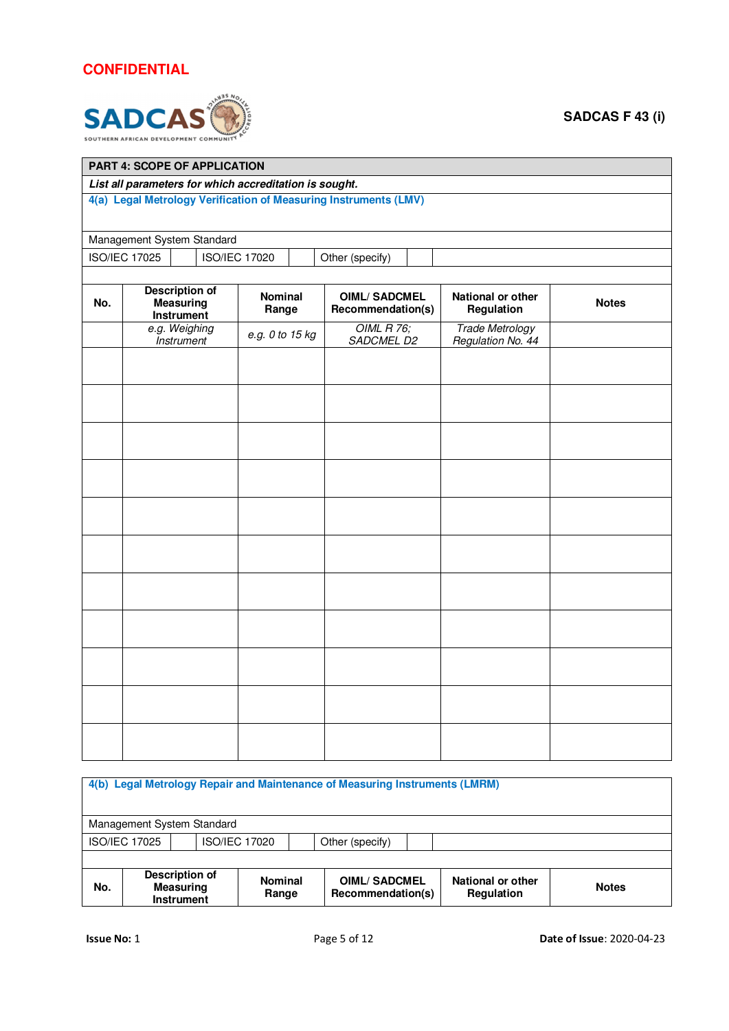

| PART 4: SCOPE OF APPLICATION                           |                                                                  |                                 |  |                      |  |                                          |  |                                             |              |  |  |  |
|--------------------------------------------------------|------------------------------------------------------------------|---------------------------------|--|----------------------|--|------------------------------------------|--|---------------------------------------------|--------------|--|--|--|
| List all parameters for which accreditation is sought. |                                                                  |                                 |  |                      |  |                                          |  |                                             |              |  |  |  |
|                                                        | 4(a) Legal Metrology Verification of Measuring Instruments (LMV) |                                 |  |                      |  |                                          |  |                                             |              |  |  |  |
|                                                        | Management System Standard                                       |                                 |  |                      |  |                                          |  |                                             |              |  |  |  |
|                                                        | <b>ISO/IEC 17025</b>                                             |                                 |  | <b>ISO/IEC 17020</b> |  | Other (specify)                          |  |                                             |              |  |  |  |
|                                                        |                                                                  |                                 |  |                      |  |                                          |  |                                             |              |  |  |  |
| No.                                                    | <b>Description of</b>                                            | <b>Measuring</b><br>Instrument  |  | Nominal<br>Range     |  | <b>OIML/SADCMEL</b><br>Recommendation(s) |  | National or other<br>Regulation             | <b>Notes</b> |  |  |  |
|                                                        | e.g. Weighing                                                    | <i><u><b>Instrument</b></u></i> |  | e.g. 0 to 15 kg      |  | <b>OIML R 76;</b><br>SADCMEL D2          |  | <b>Trade Metrology</b><br>Regulation No. 44 |              |  |  |  |
|                                                        |                                                                  |                                 |  |                      |  |                                          |  |                                             |              |  |  |  |
|                                                        |                                                                  |                                 |  |                      |  |                                          |  |                                             |              |  |  |  |
|                                                        |                                                                  |                                 |  |                      |  |                                          |  |                                             |              |  |  |  |
|                                                        |                                                                  |                                 |  |                      |  |                                          |  |                                             |              |  |  |  |
|                                                        |                                                                  |                                 |  |                      |  |                                          |  |                                             |              |  |  |  |
|                                                        |                                                                  |                                 |  |                      |  |                                          |  |                                             |              |  |  |  |
|                                                        |                                                                  |                                 |  |                      |  |                                          |  |                                             |              |  |  |  |
|                                                        |                                                                  |                                 |  |                      |  |                                          |  |                                             |              |  |  |  |
|                                                        |                                                                  |                                 |  |                      |  |                                          |  |                                             |              |  |  |  |
|                                                        |                                                                  |                                 |  |                      |  |                                          |  |                                             |              |  |  |  |
|                                                        |                                                                  |                                 |  |                      |  |                                          |  |                                             |              |  |  |  |
|                                                        |                                                                  |                                 |  |                      |  |                                          |  |                                             |              |  |  |  |
|                                                        |                                                                  |                                 |  |                      |  |                                          |  |                                             |              |  |  |  |
|                                                        |                                                                  |                                 |  |                      |  |                                          |  |                                             |              |  |  |  |
|                                                        |                                                                  |                                 |  |                      |  |                                          |  |                                             |              |  |  |  |
|                                                        |                                                                  |                                 |  |                      |  |                                          |  |                                             |              |  |  |  |
|                                                        |                                                                  |                                 |  |                      |  |                                          |  |                                             |              |  |  |  |

|     | 4(b) Legal Metrology Repair and Maintenance of Measuring Instruments (LMRM)                                                                                                              |  |  |  |  |  |  |  |  |  |  |
|-----|------------------------------------------------------------------------------------------------------------------------------------------------------------------------------------------|--|--|--|--|--|--|--|--|--|--|
|     | Management System Standard                                                                                                                                                               |  |  |  |  |  |  |  |  |  |  |
|     | <b>ISO/IEC 17025</b><br><b>ISO/IEC 17020</b><br>Other (specify)                                                                                                                          |  |  |  |  |  |  |  |  |  |  |
|     |                                                                                                                                                                                          |  |  |  |  |  |  |  |  |  |  |
| No. | Description of<br><b>OIML/SADCMEL</b><br>National or other<br><b>Nominal</b><br><b>Notes</b><br><b>Measuring</b><br>Recommendation(s)<br><b>Regulation</b><br>Range<br><b>Instrument</b> |  |  |  |  |  |  |  |  |  |  |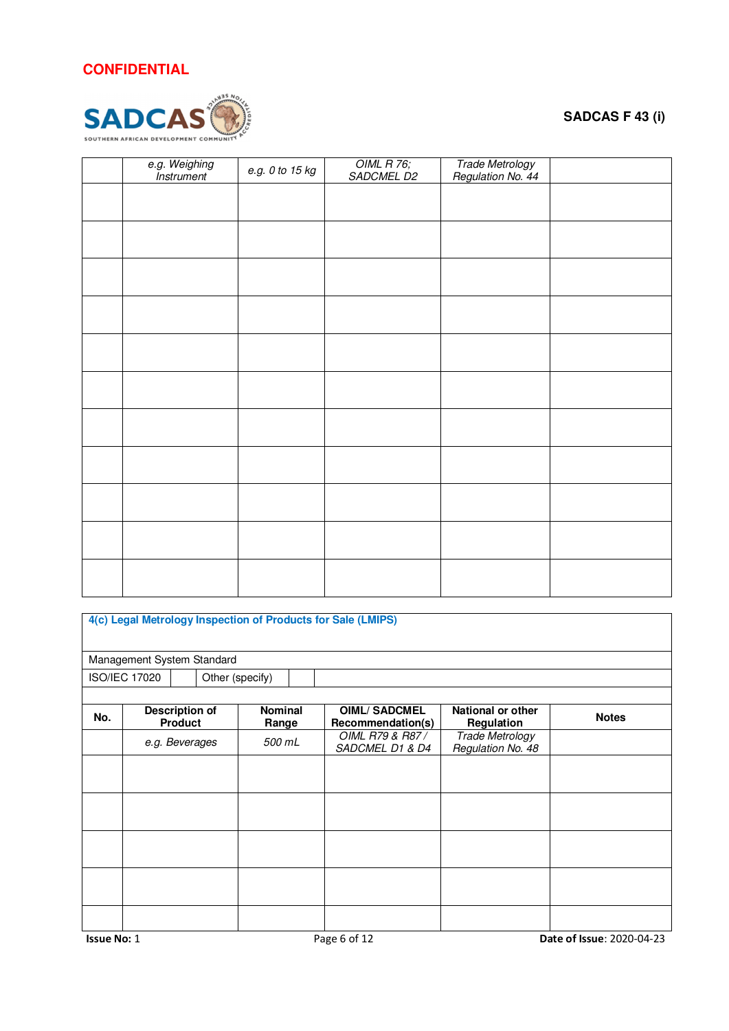

| e.g. Weighing<br>Instrument | e.g. 0 to 15 kg | OIML R 76;<br>SADCMEL D2 | Trade Metrology<br>Regulation No. 44 |  |
|-----------------------------|-----------------|--------------------------|--------------------------------------|--|
|                             |                 |                          |                                      |  |
|                             |                 |                          |                                      |  |
|                             |                 |                          |                                      |  |
|                             |                 |                          |                                      |  |
|                             |                 |                          |                                      |  |
|                             |                 |                          |                                      |  |
|                             |                 |                          |                                      |  |
|                             |                 |                          |                                      |  |
|                             |                 |                          |                                      |  |
|                             |                 |                          |                                      |  |
|                             |                 |                          |                                      |  |
|                             |                 |                          |                                      |  |

|     | 4(c) Legal Metrology Inspection of Products for Sale (LMIPS) |                |                 |                         |  |                                          |                                             |              |  |  |  |  |
|-----|--------------------------------------------------------------|----------------|-----------------|-------------------------|--|------------------------------------------|---------------------------------------------|--------------|--|--|--|--|
|     | Management System Standard                                   |                |                 |                         |  |                                          |                                             |              |  |  |  |  |
|     | <b>ISO/IEC 17020</b>                                         |                | Other (specify) |                         |  |                                          |                                             |              |  |  |  |  |
|     |                                                              |                |                 |                         |  |                                          |                                             |              |  |  |  |  |
| No. | Description of                                               | <b>Product</b> |                 | <b>Nominal</b><br>Range |  | <b>OIML/SADCMEL</b><br>Recommendation(s) | National or other<br>Regulation             | <b>Notes</b> |  |  |  |  |
|     | e.g. Beverages                                               |                |                 | 500 mL                  |  | OIML R79 & R87 /<br>SADCMEL D1 & D4      | <b>Trade Metrology</b><br>Regulation No. 48 |              |  |  |  |  |
|     |                                                              |                |                 |                         |  |                                          |                                             |              |  |  |  |  |
|     |                                                              |                |                 |                         |  |                                          |                                             |              |  |  |  |  |
|     |                                                              |                |                 |                         |  |                                          |                                             |              |  |  |  |  |
|     |                                                              |                |                 |                         |  |                                          |                                             |              |  |  |  |  |
|     |                                                              |                |                 |                         |  |                                          |                                             |              |  |  |  |  |
|     |                                                              |                |                 |                         |  |                                          |                                             |              |  |  |  |  |
|     |                                                              |                |                 |                         |  |                                          |                                             |              |  |  |  |  |
|     |                                                              |                |                 |                         |  |                                          |                                             |              |  |  |  |  |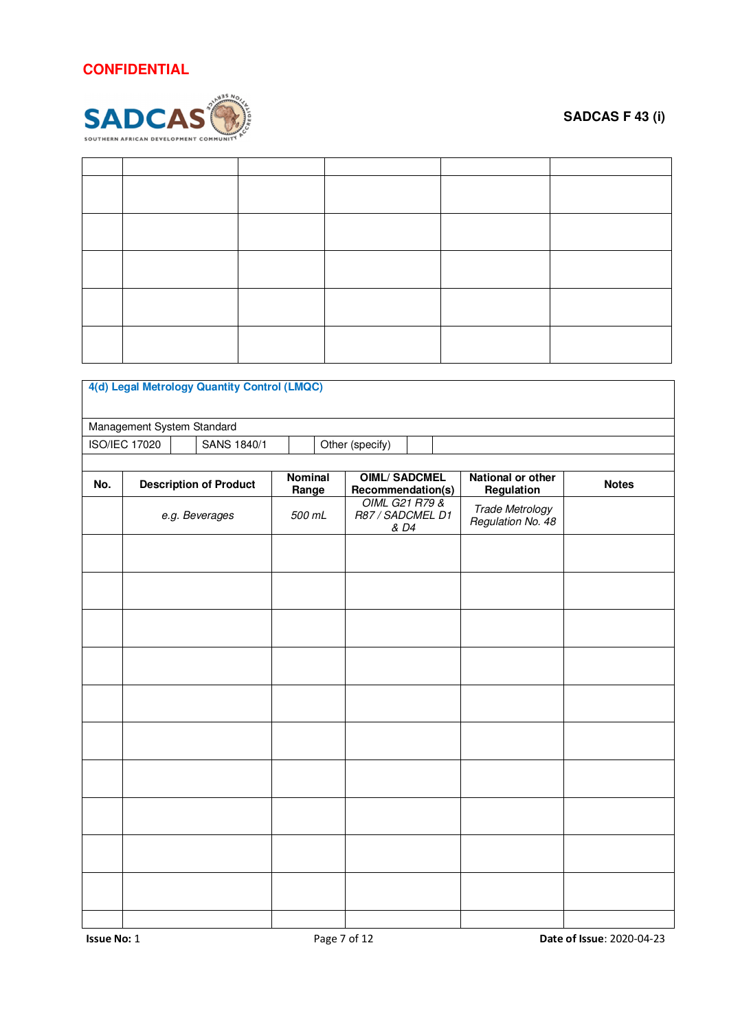

|     |                            | 4(d) Legal Metrology Quantity Control (LMQC) |                  |                                               |      |                                             |              |
|-----|----------------------------|----------------------------------------------|------------------|-----------------------------------------------|------|---------------------------------------------|--------------|
|     | Management System Standard |                                              |                  |                                               |      |                                             |              |
|     | <b>ISO/IEC 17020</b>       | SANS 1840/1                                  |                  | Other (specify)                               |      |                                             |              |
|     |                            |                                              |                  |                                               |      |                                             |              |
| No. |                            | <b>Description of Product</b>                | Nominal<br>Range | <b>OIML/SADCMEL</b><br>Recommendation(s)      |      | National or other<br>Regulation             | <b>Notes</b> |
|     |                            | e.g. Beverages                               | 500 mL           | <b>OIML G21 R79 &amp;</b><br>R87 / SADCMEL D1 | & D4 | <b>Trade Metrology</b><br>Regulation No. 48 |              |
|     |                            |                                              |                  |                                               |      |                                             |              |
|     |                            |                                              |                  |                                               |      |                                             |              |
|     |                            |                                              |                  |                                               |      |                                             |              |
|     |                            |                                              |                  |                                               |      |                                             |              |
|     |                            |                                              |                  |                                               |      |                                             |              |
|     |                            |                                              |                  |                                               |      |                                             |              |
|     |                            |                                              |                  |                                               |      |                                             |              |
|     |                            |                                              |                  |                                               |      |                                             |              |
|     |                            |                                              |                  |                                               |      |                                             |              |
|     |                            |                                              |                  |                                               |      |                                             |              |
|     |                            |                                              |                  |                                               |      |                                             |              |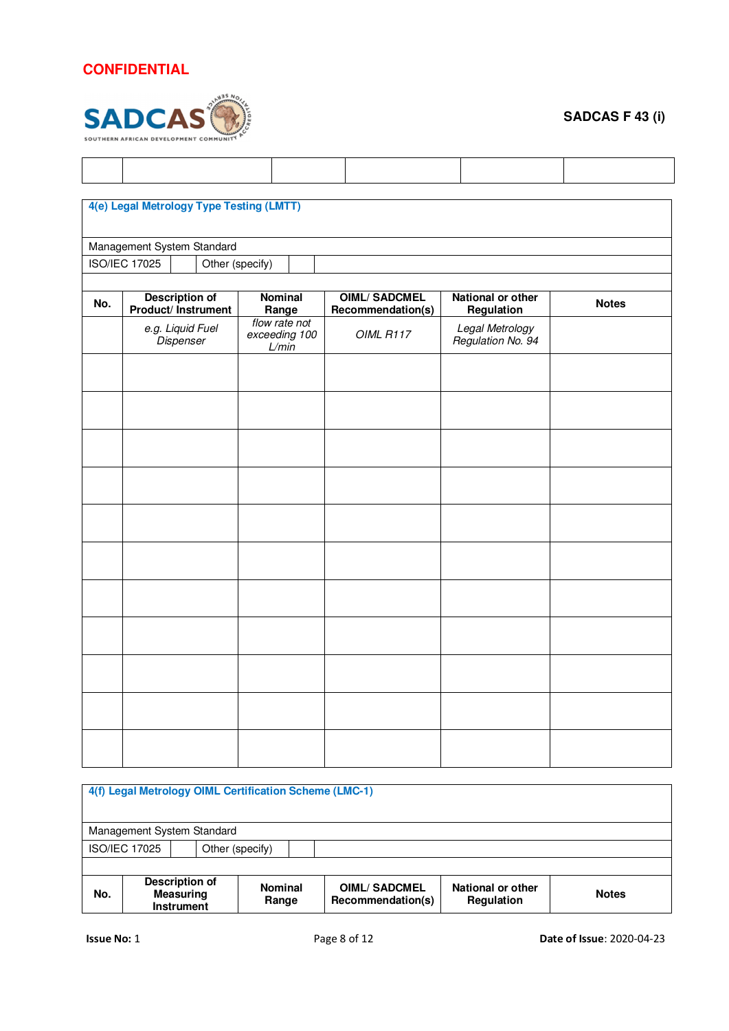

|     | 4(e) Legal Metrology Type Testing (LMTT)     |                                         |                                          |                                        |              |
|-----|----------------------------------------------|-----------------------------------------|------------------------------------------|----------------------------------------|--------------|
|     |                                              |                                         |                                          |                                        |              |
|     | Management System Standard                   |                                         |                                          |                                        |              |
|     | <b>ISO/IEC 17025</b><br>Other (specify)      |                                         |                                          |                                        |              |
| No. | <b>Description of</b><br>Product/ Instrument | Nominal<br>Range                        | <b>OIML/SADCMEL</b><br>Recommendation(s) | <b>National or other</b><br>Regulation | <b>Notes</b> |
|     | e.g. Liquid Fuel<br><b>Dispenser</b>         | flow rate not<br>exceeding 100<br>L/min | OIML R117                                | Legal Metrology<br>Regulation No. 94   |              |
|     |                                              |                                         |                                          |                                        |              |
|     |                                              |                                         |                                          |                                        |              |
|     |                                              |                                         |                                          |                                        |              |
|     |                                              |                                         |                                          |                                        |              |
|     |                                              |                                         |                                          |                                        |              |
|     |                                              |                                         |                                          |                                        |              |
|     |                                              |                                         |                                          |                                        |              |
|     |                                              |                                         |                                          |                                        |              |
|     |                                              |                                         |                                          |                                        |              |
|     |                                              |                                         |                                          |                                        |              |
|     |                                              |                                         |                                          |                                        |              |
|     |                                              |                                         |                                          |                                        |              |

|                                                                | 4(f) Legal Metrology OIML Certification Scheme (LMC-1) |                         |  |                                          |                                 |              |  |  |  |
|----------------------------------------------------------------|--------------------------------------------------------|-------------------------|--|------------------------------------------|---------------------------------|--------------|--|--|--|
|                                                                | Management System Standard                             |                         |  |                                          |                                 |              |  |  |  |
|                                                                | <b>ISO/IEC 17025</b><br>Other (specify)                |                         |  |                                          |                                 |              |  |  |  |
|                                                                |                                                        |                         |  |                                          |                                 |              |  |  |  |
| Description of<br>No.<br><b>Measuring</b><br><b>Instrument</b> |                                                        | <b>Nominal</b><br>Range |  | <b>OIML/SADCMEL</b><br>Recommendation(s) | National or other<br>Regulation | <b>Notes</b> |  |  |  |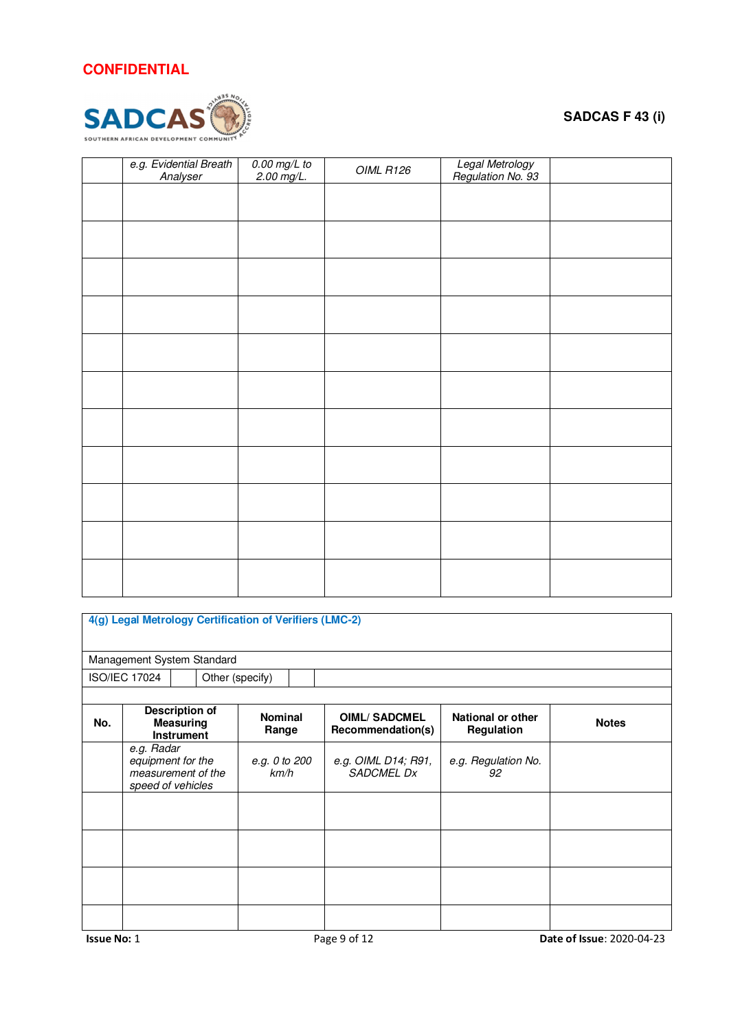

| e.g. Evidential Breath<br>Analyser | $0.00 \text{ mg/L}$ to<br>2.00 mg/L. | OIML R126 | Legal Metrology<br>Regulation No. 93 |  |
|------------------------------------|--------------------------------------|-----------|--------------------------------------|--|
|                                    |                                      |           |                                      |  |
|                                    |                                      |           |                                      |  |
|                                    |                                      |           |                                      |  |
|                                    |                                      |           |                                      |  |
|                                    |                                      |           |                                      |  |
|                                    |                                      |           |                                      |  |
|                                    |                                      |           |                                      |  |
|                                    |                                      |           |                                      |  |
|                                    |                                      |           |                                      |  |
|                                    |                                      |           |                                      |  |
|                                    |                                      |           |                                      |  |
|                                    |                                      |           |                                      |  |

| 4(g) Legal Metrology Certification of Verifiers (LMC-2) |                                                                            |  |  |                         |  |                                          |                                 |              |  |
|---------------------------------------------------------|----------------------------------------------------------------------------|--|--|-------------------------|--|------------------------------------------|---------------------------------|--------------|--|
| Management System Standard                              |                                                                            |  |  |                         |  |                                          |                                 |              |  |
|                                                         | <b>ISO/IEC 17024</b>                                                       |  |  | Other (specify)         |  |                                          |                                 |              |  |
|                                                         |                                                                            |  |  |                         |  |                                          |                                 |              |  |
| No.                                                     | Description of<br><b>Measuring</b><br><b>Instrument</b>                    |  |  | <b>Nominal</b><br>Range |  | <b>OIML/SADCMEL</b><br>Recommendation(s) | National or other<br>Regulation | <b>Notes</b> |  |
|                                                         | e.g. Radar<br>equipment for the<br>measurement of the<br>speed of vehicles |  |  | e.g. 0 to 200<br>km/h   |  | e.g. OIML D14; R91,<br><b>SADCMEL Dx</b> | e.g. Regulation No.<br>92       |              |  |
|                                                         |                                                                            |  |  |                         |  |                                          |                                 |              |  |
|                                                         |                                                                            |  |  |                         |  |                                          |                                 |              |  |
|                                                         |                                                                            |  |  |                         |  |                                          |                                 |              |  |
|                                                         |                                                                            |  |  |                         |  |                                          |                                 |              |  |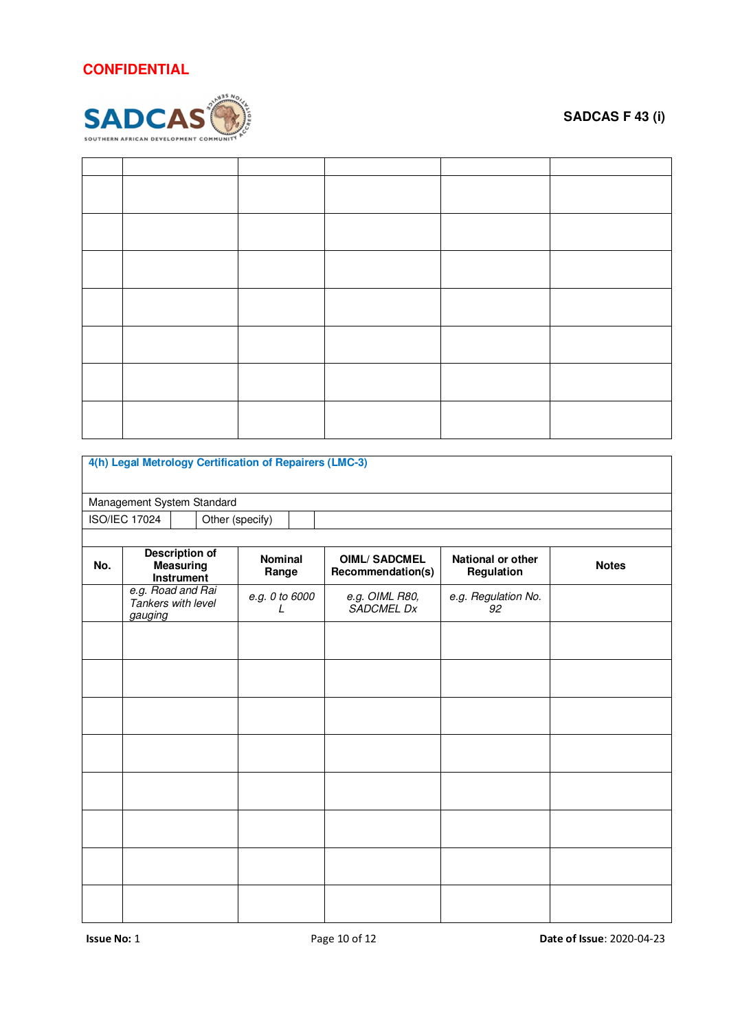

| 4(h) Legal Metrology Certification of Repairers (LMC-3) |                                                    |                                |  |                     |  |                                          |                                 |              |
|---------------------------------------------------------|----------------------------------------------------|--------------------------------|--|---------------------|--|------------------------------------------|---------------------------------|--------------|
| Management System Standard                              |                                                    |                                |  |                     |  |                                          |                                 |              |
|                                                         | <b>ISO/IEC 17024</b><br>Other (specify)            |                                |  |                     |  |                                          |                                 |              |
|                                                         |                                                    |                                |  |                     |  |                                          |                                 |              |
| No.                                                     | <b>Description of</b>                              | <b>Measuring</b><br>Instrument |  | Nominal<br>Range    |  | <b>OIML/SADCMEL</b><br>Recommendation(s) | National or other<br>Regulation | <b>Notes</b> |
|                                                         | e.g. Road and Rai<br>Tankers with level<br>gauging |                                |  | e.g. 0 to 6000<br>L |  | e.g. OIML R80,<br>SADCMEL Dx             | e.g. Regulation No.<br>92       |              |
|                                                         |                                                    |                                |  |                     |  |                                          |                                 |              |
|                                                         |                                                    |                                |  |                     |  |                                          |                                 |              |
|                                                         |                                                    |                                |  |                     |  |                                          |                                 |              |
|                                                         |                                                    |                                |  |                     |  |                                          |                                 |              |
|                                                         |                                                    |                                |  |                     |  |                                          |                                 |              |
|                                                         |                                                    |                                |  |                     |  |                                          |                                 |              |
|                                                         |                                                    |                                |  |                     |  |                                          |                                 |              |
|                                                         |                                                    |                                |  |                     |  |                                          |                                 |              |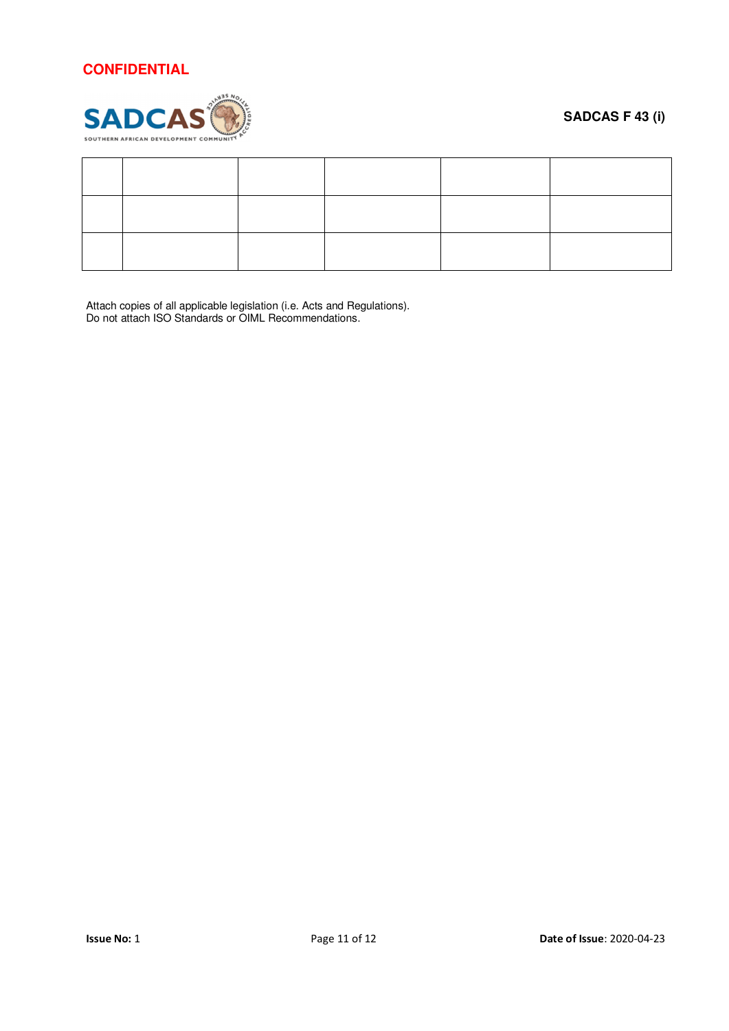

### **SADCAS F 43 (i)**

Attach copies of all applicable legislation (i.e. Acts and Regulations). Do not attach ISO Standards or OIML Recommendations.